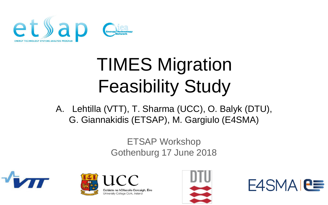

# TIMES Migration Feasibility Study

A. Lehtilla (VTT), T. Sharma (UCC), O. Balyk (DTU), G. Giannakidis (ETSAP), M. Gargiulo (E4SMA)

> ETSAP Workshop Gothenburg 17 June 2018





oláiste na hOllscoile Corcaigh, Éire niversity College Cork, Ireland



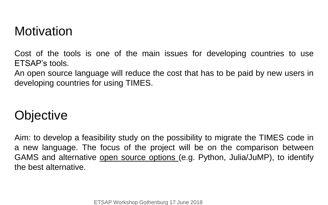#### **Motivation**

Cost of the tools is one of the main issues for developing countries to use ETSAP's tools.

An open source language will reduce the cost that has to be paid by new users in developing countries for using TIMES.

#### **Objective**

Aim: to develop a feasibility study on the possibility to migrate the TIMES code in a new language. The focus of the project will be on the comparison between GAMS and alternative open source options (e.g. Python, Julia/JuMP), to identify the best alternative.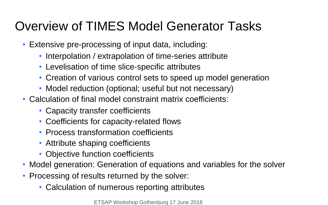#### Overview of TIMES Model Generator Tasks

- Extensive pre-processing of input data, including:
	- Interpolation / extrapolation of time-series attribute
	- Levelisation of time slice-specific attributes
	- Creation of various control sets to speed up model generation
	- Model reduction (optional; useful but not necessary)
- Calculation of final model constraint matrix coefficients:
	- Capacity transfer coefficients
	- Coefficients for capacity-related flows
	- Process transformation coefficients
	- Attribute shaping coefficients
	- Objective function coefficients
- Model generation: Generation of equations and variables for the solver
- Processing of results returned by the solver:
	- Calculation of numerous reporting attributes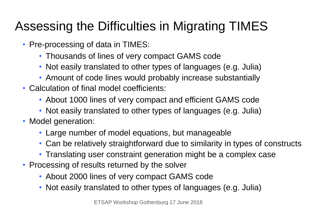## Assessing the Difficulties in Migrating TIMES

- Pre-processing of data in TIMES:
	- Thousands of lines of very compact GAMS code
	- Not easily translated to other types of languages (e.g. Julia)
	- Amount of code lines would probably increase substantially
- Calculation of final model coefficients:
	- About 1000 lines of very compact and efficient GAMS code
	- Not easily translated to other types of languages (e.g. Julia)
- Model generation:
	- Large number of model equations, but manageable
	- Can be relatively straightforward due to similarity in types of constructs
	- Translating user constraint generation might be a complex case
- Processing of results returned by the solver
	- About 2000 lines of very compact GAMS code
	- Not easily translated to other types of languages (e.g. Julia)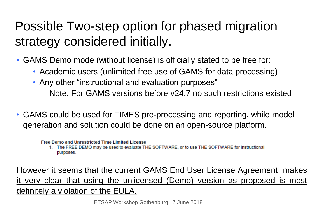## Possible Two-step option for phased migration strategy considered initially.

- GAMS Demo mode (without license) is officially stated to be free for:
	- Academic users (unlimited free use of GAMS for data processing)
	- Any other "instructional and evaluation purposes" Note: For GAMS versions before v24.7 no such restrictions existed
- GAMS could be used for TIMES pre-processing and reporting, while model generation and solution could be done on an open-source platform.

**Free Demo and Unrestricted Time Limited License** 

1. The FREE DEMO may be used to evaluate THE SOFTWARE, or to use THE SOFTWARE for instructional purposes.

However it seems that the current GAMS End User License Agreement makes it very clear that using the unlicensed (Demo) version as proposed is most definitely a violation of the EULA.

ETSAP Workshop Gothenburg 17 June 2018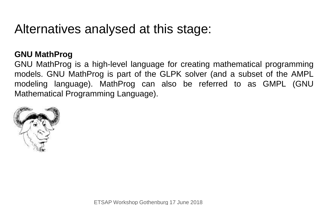#### Alternatives analysed at this stage:

#### **GNU MathProg**

GNU MathProg is a high-level language for creating mathematical programming models. GNU MathProg is part of the GLPK solver (and a subset of the AMPL modeling language). MathProg can also be referred to as GMPL (GNU Mathematical Programming Language).

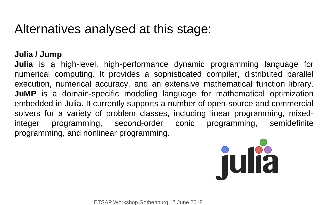#### Alternatives analysed at this stage:

#### **Julia / Jump**

**Julia** is a high-level, high-performance dynamic programming language for numerical computing. It provides a sophisticated compiler, distributed parallel execution, numerical accuracy, and an extensive mathematical function library. **JuMP** is a domain-specific modeling language for mathematical optimization embedded in Julia. It currently supports a number of open-source and commercial solvers for a variety of problem classes, including linear programming, mixedinteger programming, second-order conic programming, semidefinite programming, and nonlinear programming.

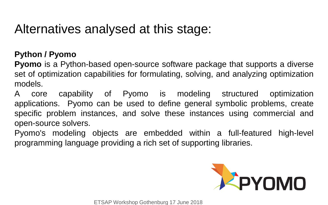#### Alternatives analysed at this stage:

#### **Python / Pyomo**

**Pyomo** is a Python-based open-source software package that supports a diverse set of optimization capabilities for formulating, solving, and analyzing optimization models.

A core capability of Pyomo is modeling structured optimization applications. Pyomo can be used to define general symbolic problems, create specific problem instances, and solve these instances using commercial and open-source solvers.

Pyomo's modeling objects are embedded within a full-featured high-level programming language providing a rich set of supporting libraries.

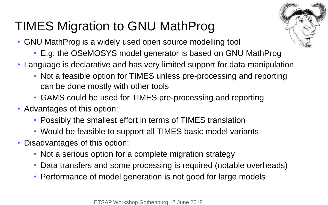#### TIMES Migration to GNU MathProg

- GNU MathProg is a widely used open source modelling tool
	- E.g. the OSeMOSYS model generator is based on GNU MathProg
- Language is declarative and has very limited support for data manipulation
	- Not a feasible option for TIMES unless pre-processing and reporting can be done mostly with other tools
	- GAMS could be used for TIMES pre-processing and reporting
- Advantages of this option:
	- Possibly the smallest effort in terms of TIMES translation
	- Would be feasible to support all TIMES basic model variants
- Disadvantages of this option:
	- Not a serious option for a complete migration strategy
	- Data transfers and some processing is required (notable overheads)
	- Performance of model generation is not good for large models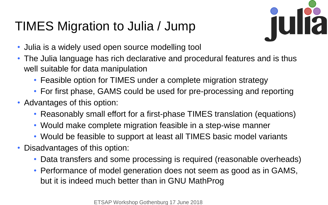## TIMES Migration to Julia / Jump



- Julia is a widely used open source modelling tool
- The Julia language has rich declarative and procedural features and is thus well suitable for data manipulation
	- Feasible option for TIMES under a complete migration strategy
	- For first phase, GAMS could be used for pre-processing and reporting
- Advantages of this option:
	- Reasonably small effort for a first-phase TIMES translation (equations)
	- Would make complete migration feasible in a step-wise manner
	- Would be feasible to support at least all TIMES basic model variants
- Disadvantages of this option:
	- Data transfers and some processing is required (reasonable overheads)
	- Performance of model generation does not seem as good as in GAMS, but it is indeed much better than in GNU MathProg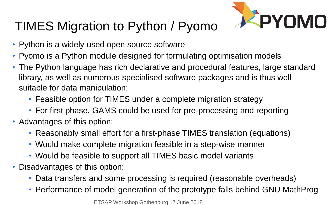## TIMES Migration to Python / Pyomo



- Python is a widely used open source software
- Pyomo is a Python module designed for formulating optimisation models
- The Python language has rich declarative and procedural features, large standard library, as well as numerous specialised software packages and is thus well suitable for data manipulation:
	- Feasible option for TIMES under a complete migration strategy
	- For first phase, GAMS could be used for pre-processing and reporting
- Advantages of this option:
	- Reasonably small effort for a first-phase TIMES translation (equations)
	- Would make complete migration feasible in a step-wise manner
	- Would be feasible to support all TIMES basic model variants
- Disadvantages of this option:
	- Data transfers and some processing is required (reasonable overheads)
	- Performance of model generation of the prototype falls behind GNU MathProg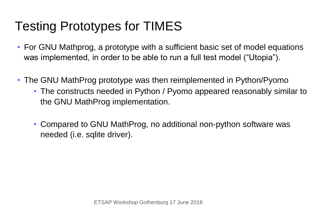## Testing Prototypes for TIMES

- For GNU Mathprog, a prototype with a sufficient basic set of model equations was implemented, in order to be able to run a full test model ("Utopia").
- The GNU MathProg prototype was then reimplemented in Python/Pyomo
	- The constructs needed in Python / Pyomo appeared reasonably similar to the GNU MathProg implementation.
	- Compared to GNU MathProg, no additional non-python software was needed (i.e. sqlite driver).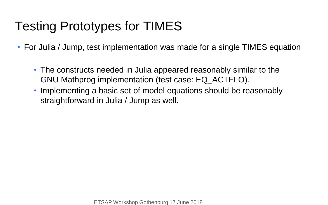### Testing Prototypes for TIMES

• For Julia / Jump, test implementation was made for a single TIMES equation

- The constructs needed in Julia appeared reasonably similar to the GNU Mathprog implementation (test case: EQ\_ACTFLO).
- Implementing a basic set of model equations should be reasonably straightforward in Julia / Jump as well.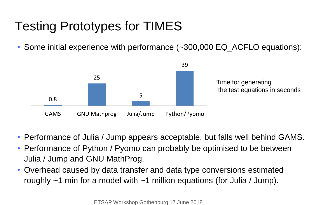## Testing Prototypes for TIMES

• Some initial experience with performance (~300,000 EQ\_ACFLO equations):



- Performance of Julia / Jump appears acceptable, but falls well behind GAMS.
- Performance of Python / Pyomo can probably be optimised to be between Julia / Jump and GNU MathProg.
- Overhead caused by data transfer and data type conversions estimated roughly  $\sim$ 1 min for a model with  $\sim$ 1 million equations (for Julia / Jump).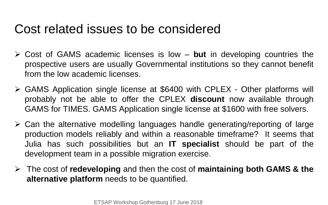#### Cost related issues to be considered

- Cost of GAMS academic licenses is low **but** in developing countries the prospective users are usually Governmental institutions so they cannot benefit from the low academic licenses.
- GAMS Application single license at \$6400 with CPLEX Other platforms will probably not be able to offer the CPLEX **discount** now available through GAMS for TIMES. GAMS Application single license at \$1600 with free solvers.
- $\triangleright$  Can the alternative modelling languages handle generating/reporting of large production models reliably and within a reasonable timeframe? It seems that Julia has such possibilities but an **IT specialist** should be part of the development team in a possible migration exercise.
- The cost of **redeveloping** and then the cost of **maintaining both GAMS & the alternative platform** needs to be quantified.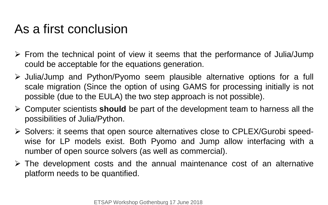#### As a first conclusion

- $\triangleright$  From the technical point of view it seems that the performance of Julia/Jump could be acceptable for the equations generation.
- $\triangleright$  Julia/Jump and Python/Pyomo seem plausible alternative options for a full scale migration (Since the option of using GAMS for processing initially is not possible (due to the EULA) the two step approach is not possible).
- Computer scientists **should** be part of the development team to harness all the possibilities of Julia/Python.
- Solvers: it seems that open source alternatives close to CPLEX/Gurobi speedwise for LP models exist. Both Pyomo and Jump allow interfacing with a number of open source solvers (as well as commercial).
- $\triangleright$  The development costs and the annual maintenance cost of an alternative platform needs to be quantified.